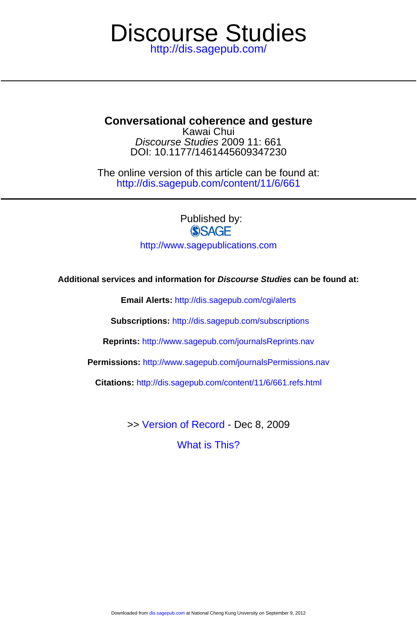### <http://dis.sagepub.com/> Discourse Studies

### **Conversational coherence and gesture**

DOI: 10.1177/1461445609347230 Discourse Studies 2009 11: 661 Kawai Chui

<http://dis.sagepub.com/content/11/6/661> The online version of this article can be found at:

> Published by: **SSAGE** <http://www.sagepublications.com>

**Additional services and information for Discourse Studies can be found at:**

**Email Alerts:** <http://dis.sagepub.com/cgi/alerts>

**Subscriptions:** <http://dis.sagepub.com/subscriptions>

**Reprints:** <http://www.sagepub.com/journalsReprints.nav>

**Permissions:** <http://www.sagepub.com/journalsPermissions.nav>

**Citations:** <http://dis.sagepub.com/content/11/6/661.refs.html>

>> [Version of Record -](http://dis.sagepub.com/content/11/6/661.full.pdf) Dec 8, 2009

[What is This?](http://online.sagepub.com/site/sphelp/vorhelp.xhtml)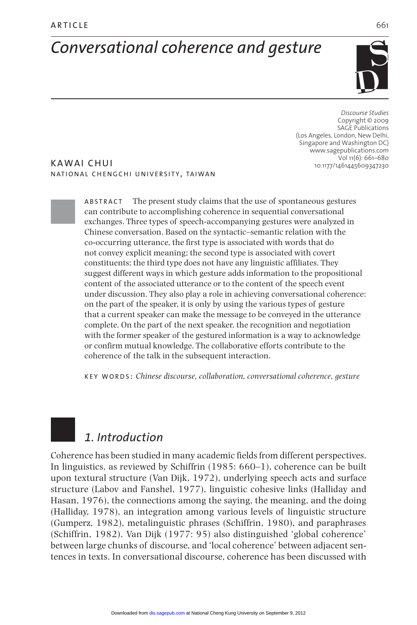# Conversational coherence and gesture



Discourse Studies Copyright © 2009 SAGE Publications (Los Angeles, London, New Delhi, Singapore and Washington DC) www.sagepublications.com Vol 11(6): 661-680 10.1177/1461445609347230

**KAWAI CHUI** NATIONAL CHENGCHI UNIVERSITY, TAIWAN

> ABSTRACT The present study claims that the use of spontaneous gestures can contribute to accomplishing coherence in sequential conversational exchanges. Three types of speech-accompanying gestures were analyzed in Chinese conversation. Based on the syntactic-semantic relation with the co-occurring utterance, the first type is associated with words that do not convey explicit meaning; the second type is associated with covert constituents; the third type does not have any linguistic affiliates. They suggest different ways in which gesture adds information to the propositional content of the associated utterance or to the content of the speech event under discussion. They also play a role in achieving conversational coherence: on the part of the speaker, it is only by using the various types of gesture that a current speaker can make the message to be conveyed in the utterance complete. On the part of the next speaker, the recognition and negotiation with the former speaker of the gestured information is a way to acknowledge or confirm mutual knowledge. The collaborative efforts contribute to the coherence of the talk in the subsequent interaction.

KEY WORDS: Chinese discourse, collaboration, conversational coherence, gesture

## 1. Introduction

Coherence has been studied in many academic fields from different perspectives. In linguistics, as reviewed by Schiffrin  $(1985: 660-1)$ , coherence can be built upon textural structure (Van Dijk, 1972), underlying speech acts and surface structure (Labov and Fanshel, 1977), linguistic cohesive links (Halliday and Hasan, 1976), the connections among the saying, the meaning, and the doing (Halliday, 1978), an integration among various levels of linguistic structure (Gumperz, 1982), metalinguistic phrases (Schiffrin, 1980), and paraphrases (Schiffrin, 1982). Van Dijk (1977: 95) also distinguished 'global coherence' between large chunks of discourse, and 'local coherence' between adjacent sentences in texts. In conversational discourse, coherence has been discussed with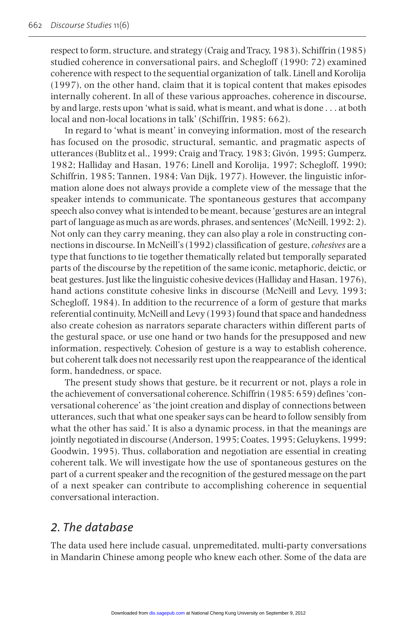respect to form, structure, and strategy (Craig and Tracy, 1983). Schiffrin (1985) studied coherence in conversational pairs, and Schegloff (1990: 72) examined coherence with respect to the sequential organization of talk. Linell and Korolija (1997), on the other hand, claim that it is topical content that makes episodes internally coherent. In all of these various approaches, coherence in discourse, by and large, rests upon 'what is said, what is meant, and what is done . . . at both local and non-local locations in talk' (Schiffrin, 1985: 662).

In regard to 'what is meant' in conveying information, most of the research has focused on the prosodic, structural, semantic, and pragmatic aspects of utterances (Bublitz et al., 1999; Craig and Tracy, 1983; Givón, 1995; Gumperz, 1982; Halliday and Hasan, 1976; Linell and Korolija, 1997; Schegloff, 1990; Schiffrin, 1985; Tannen, 1984; Van Dijk, 1977). However, the linguistic information alone does not always provide a complete view of the message that the speaker intends to communicate. The spontaneous gestures that accompany speech also convey what is intended to be meant, because 'gestures are an integral part of language as much as are words, phrases, and sentences' (McNeill, 1992: 2). Not only can they carry meaning, they can also play a role in constructing connections in discourse. In McNeill's (1992) classification of gesture, *cohesives* are a type that functions to tie together thematically related but temporally separated parts of the discourse by the repetition of the same iconic, metaphoric, deictic, or beat gestures. Just like the linguistic cohesive devices (Halliday and Hasan, 1976), hand actions constitute cohesive links in discourse (McNeill and Levy, 1993; Schegloff, 1984). In addition to the recurrence of a form of gesture that marks referential continuity, McNeill and Levy (1993) found that space and handedness also create cohesion as narrators separate characters within different parts of the gestural space, or use one hand or two hands for the presupposed and new information, respectively. Cohesion of gesture is a way to establish coherence, but coherent talk does not necessarily rest upon the reappearance of the identical form, handedness, or space.

The present study shows that gesture, be it recurrent or not, plays a role in the achievement of conversational coherence. Schiffrin (1985: 659) defines 'conversational coherence' as 'the joint creation and display of connections between utterances, such that what one speaker says can be heard to follow sensibly from what the other has said.' It is also a dynamic process, in that the meanings are jointly negotiated in discourse (Anderson, 1995; Coates, 1995; Geluykens, 1999; Goodwin, 1995). Thus, collaboration and negotiation are essential in creating coherent talk. We will investigate how the use of spontaneous gestures on the part of a current speaker and the recognition of the gestured message on the part of a next speaker can contribute to accomplishing coherence in sequential conversational interaction.

### $2.$  The database

The data used here include casual, unpremeditated, multi-party conversations in Mandarin Chinese among people who knew each other. Some of the data are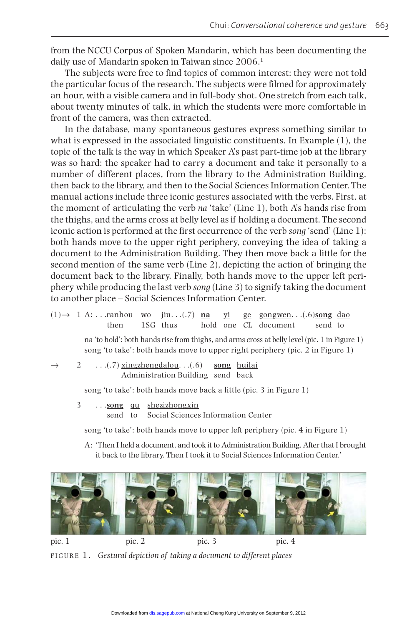from the NCCU Corpus of Spoken Mandarin, which has been documenting the daily use of Mandarin spoken in Taiwan since 2006.<sup>1</sup>

The subjects were free to find topics of common interest; they were not told the particular focus of the research. The subjects were filmed for approximately an hour, with a visible camera and in full-body shot. One stretch from each talk, about twenty minutes of talk, in which the students were more comfortable in front of the camera, was then extracted.

In the database, many spontaneous gestures express something similar to what is expressed in the associated linguistic constituents. In Example  $(1)$ , the topic of the talk is the way in which Speaker A's past part-time job at the library was so hard: the speaker had to carry a document and take it personally to a number of different places, from the library to the Administration Building, then back to the library, and then to the Social Sciences Information Center. The manual actions include three iconic gestures associated with the verbs. First, at the moment of articulating the verb  $na$  'take' (Line 1), both  $\overrightarrow{A}$ 's hands rise from the thighs, and the arms cross at belly level as if holding a document. The second iconic action is performed at the first occurrence of the verb song 'send' (Line 1): both hands move to the upper right periphery, conveying the idea of taking a document to the Administration Building. They then move back a little for the second mention of the same verb (Line 2), depicting the action of bringing the document back to the library. Finally, both hands move to the upper left periphery while producing the last verb song (Line 3) to signify taking the document to another place - Social Sciences Information Center.

 $(1) \rightarrow 1$  A: ... ranhou **WO** jiu... $(.7)$  na yi ge gongwen...(.6)song dao then 1SG thus hold one CL document send to

> na 'to hold': both hands rise from thighs, and arms cross at belly level (pic. 1 in Figure 1) song 'to take': both hands move to upper right periphery (pic. 2 in Figure 1)

 $\overline{2}$  $\dots(0.7)$  xingzhengdalou... $(0.6)$ song huilai  $\overline{\phantom{0}}$ Administration Building send back

song 'to take': both hands move back a little (pic. 3 in Figure 1)

...song qu shezizhongxin 3 Social Sciences Information Center send to

song 'to take': both hands move to upper left periphery (pic. 4 in Figure 1)

A: 'Then I held a document, and took it to Administration Building. After that I brought it back to the library. Then I took it to Social Sciences Information Center.'



FIGURE 1. Gestural depiction of taking a document to different places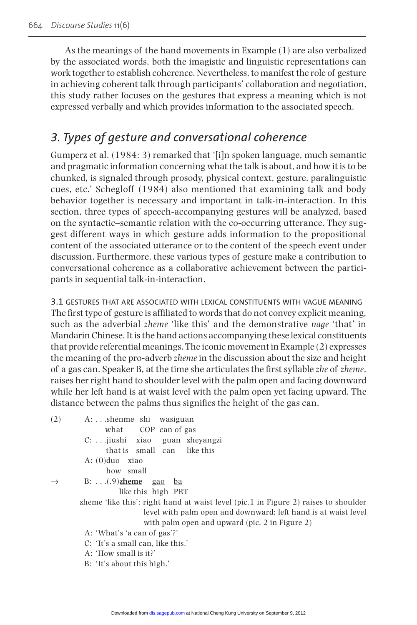As the meanings of the hand movements in Example (1) are also verbalized by the associated words, both the imagistic and linguistic representations can work together to establish coherence. Nevertheless, to manifest the role of gesture in achieving coherent talk through participants' collaboration and negotiation, this study rather focuses on the gestures that express a meaning which is not expressed verbally and which provides information to the associated speech.

### 3. Types of gesture and conversational coherence

Gumperz et al. (1984: 3) remarked that '[i]n spoken language, much semantic and pragmatic information concerning what the talk is about, and how it is to be chunked, is signaled through prosody, physical context, gesture, paralinguistic cues, etc.' Schegloff (1984) also mentioned that examining talk and body behavior together is necessary and important in talk-in-interaction. In this section, three types of speech-accompanying gestures will be analyzed, based on the syntactic-semantic relation with the co-occurring utterance. They suggest different ways in which gesture adds information to the propositional content of the associated utterance or to the content of the speech event under discussion. Furthermore, these various types of gesture make a contribution to conversational coherence as a collaborative achievement between the participants in sequential talk-in-interaction.

3.1 GESTURES THAT ARE ASSOCIATED WITH LEXICAL CONSTITUENTS WITH VAGUE MEANING The first type of gesture is affiliated to words that do not convey explicit meaning, such as the adverbial *zheme* 'like this' and the demonstrative *nage* 'that' in Mandarin Chinese. It is the hand actions accompanying these lexical constituents that provide referential meanings. The iconic movement in Example  $(2)$  expresses the meaning of the pro-adverb zheme in the discussion about the size and height of a gas can. Speaker B, at the time she articulates the first syllable zhe of zheme, raises her right hand to shoulder level with the palm open and facing downward while her left hand is at waist level with the palm open yet facing upward. The distance between the palms thus signifies the height of the gas can.

 $(2)$ A: ...shenme shi wasiguan COP can of gas what C: ... jiushi xiao guan zheyangzi that is small can like this  $A: (0)$ duo xiao how small

 $\rightarrow$ B:  $\ldots$  (.9) zheme gao ba

like this high PRT

zheme 'like this': right hand at waist level (pic.1 in Figure 2) raises to shoulder level with palm open and downward; left hand is at waist level with palm open and upward (pic. 2 in Figure 2)

- A: 'What's 'a can of gas'?'
- C: 'It's a small can, like this.'
- A: 'How small is it?'
- B: 'It's about this high.'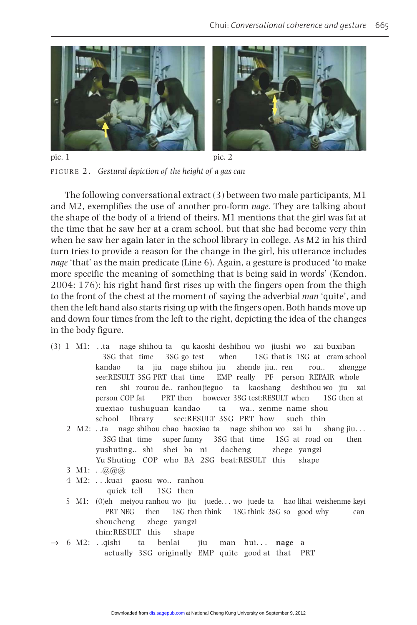

pic. 1 pic. 2 FIGURE 2. Gestural depiction of the height of a gas can

The following conversational extract (3) between two male participants, M1 and M2, exemplifies the use of another pro-form *nage*. They are talking about the shape of the body of a friend of theirs. M1 mentions that the girl was fat at the time that he saw her at a cram school, but that she had become very thin when he saw her again later in the school library in college. As M2 in his third turn tries to provide a reason for the change in the girl, his utterance includes *nage* 'that' as the main predicate (Line 6). Again, a gesture is produced 'to make more specific the meaning of something that is being said in words' (Kendon, 2004: 176): his right hand first rises up with the fingers open from the thigh to the front of the chest at the moment of saying the adverbial man 'quite', and then the left hand also starts rising up with the fingers open. Both hands move up and down four times from the left to the right, depicting the idea of the changes in the body figure.

- (3) 1 M1: ..ta nage shihou ta qu kaoshi deshihou wo jiushi wo zai buxiban 3SG that time 3SG go test when 1SG that is 1SG at cram school kandao ta jiu nage shihou jiu zhende jiu.. ren rou.. zhengge see:RESULT 3SG PRT that time EMP really PF person REPAIR whole ren shi rourou de.. ranhou jieguo ta kaoshang deshihou wo jiu zai person COP fat PRT then however 3SG test:RESULT when 1SG then at xuexiao tushuguan kandao wa.. zenme name shou ta school see:RESULT 3SG PRT how such thin library
	- 2 M2: ..ta nage shihou chao haoxiao ta nage shihou wo zai lu shang jiu... 3SG that time super funny 3SG that time 1SG at road on then yushuting.. shi shei ba ni dacheng zhege vangzi Yu Shuting COP who BA 2SG beat:RESULT this shape
	- 3 M1: . $(a)(a)(a)$
	- 4 M2: ... kuai gaosu wo.. ranhou quick tell 1SG then
	- 5 M1: (0)eh meiyou ranhou wo jiu juede... wo juede ta hao lihai weishenme keyi PRT NEG then 1SG then think 1SG think 3SG so good why can shoucheng zhege yangzi thin:RESULT this shape
- 6 M2: ..qishi ta benlai jiu  $\frac{\text{man}}{\text{l}}$   $\frac{\text{hui}}{\text{l}}$ ... nage a actually 3SG originally EMP quite good at that PRT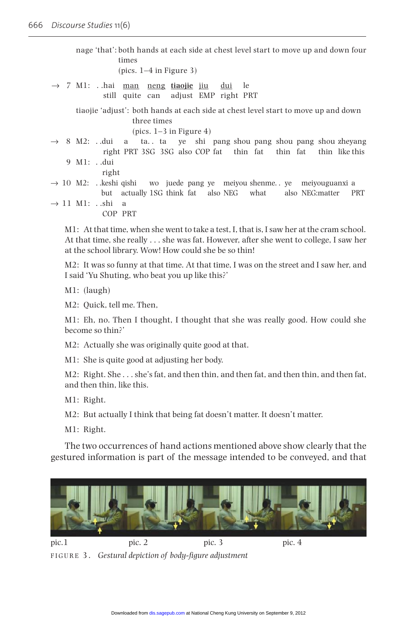nage 'that': both hands at each side at chest level start to move up and down four times  $(pics. 1-4 in Figure 3)$ 

 $\rightarrow$  7 M1: ..hai man neng tiaojie jiu dui le still quite can adjust EMP right PRT

> tiaojie 'adjust': both hands at each side at chest level start to move up and down three times

> > $(pics, 1-3$  in Figure 4)

 $\rightarrow$  8 M2: ..dui a ta...ta ye shi pang shou pang shou pang shou zheyang right PRT 3SG 3SG also COP fat thin fat thin fat thin like this

```
9 M1: ..dui
right
```
 $\rightarrow$  10 M2: . keshi qishi wo juede pang ye meiyou shenme. ye meiyouguanxi a but actually 1SG think fat also NEG what also NEG:matter PRT

 $\rightarrow$  11 M1: ..shi a

 $COP$  PRT

M1: At that time, when she went to take a test, I, that is, I saw her at the cram school. At that time, she really  $\dots$  she was fat. However, after she went to college, I saw her at the school library. Wow! How could she be so thin!

M2: It was so funny at that time. At that time, I was on the street and I saw her, and I said 'Yu Shuting, who beat you up like this?'

 $M1:$  (laugh)

M2: Ouick, tell me. Then,

 $M1$ : Eh, no. Then I thought, I thought that she was really good. How could she become so thin?'

M2: Actually she was originally quite good at that.

M1: She is quite good at adjusting her body.

M2: Right. She . . . she's fat, and then thin, and then fat, and then thin, and then fat, and then thin. like this.

M1: Right.

M2: But actually I think that being fat doesn't matter. It doesn't matter.

M1: Right.

The two occurrences of hand actions mentioned above show clearly that the gestured information is part of the message intended to be conveyed, and that



FIGURE 3. Gestural depiction of body-figure adjustment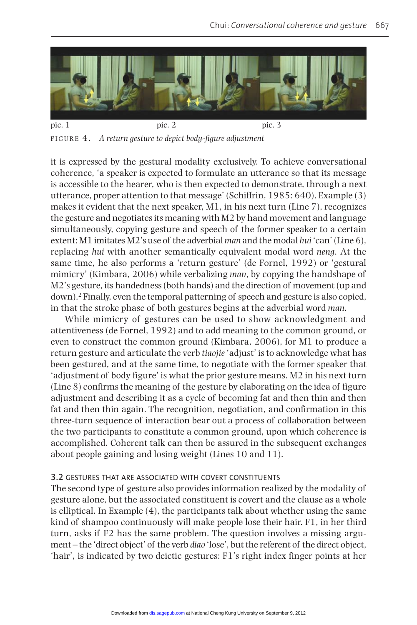

FIGURE 4. A return gesture to depict body-figure adjustment

it is expressed by the gestural modality exclusively. To achieve conversational coherence, 'a speaker is expected to formulate an utterance so that its message is accessible to the hearer, who is then expected to demonstrate, through a next utterance, proper attention to that message' (Schiffrin, 1985: 640). Example (3) makes it evident that the next speaker, M1, in his next turn (Line 7), recognizes the gesture and negotiates its meaning with M2 by hand movement and language simultaneously, copying gesture and speech of the former speaker to a certain extent: M1 imitates M2's use of the adverbial man and the modal hui 'can' (Line 6), replacing hui with another semantically equivalent modal word neng. At the same time, he also performs a 'return gesture' (de Fornel, 1992) or 'gestural mimicry' (Kimbara, 2006) while verbalizing man, by copying the handshape of M2's gesture, its handedness (both hands) and the direction of movement (up and down).<sup>2</sup> Finally, even the temporal patterning of speech and gesture is also copied, in that the stroke phase of both gestures begins at the adverbial word man.

While mimicry of gestures can be used to show acknowledgment and attentiveness (de Fornel, 1992) and to add meaning to the common ground, or even to construct the common ground (Kimbara, 2006), for M1 to produce a return gesture and articulate the verb *tiaojie* 'adjust' is to acknowledge what has been gestured, and at the same time, to negotiate with the former speaker that 'adjustment of body figure' is what the prior gesture means. M2 in his next turn (Line 8) confirms the meaning of the gesture by elaborating on the idea of figure adjustment and describing it as a cycle of becoming fat and then thin and then fat and then thin again. The recognition, negotiation, and confirmation in this three-turn sequence of interaction bear out a process of collaboration between the two participants to constitute a common ground, upon which coherence is accomplished. Coherent talk can then be assured in the subsequent exchanges about people gaining and losing weight (Lines 10 and 11).

#### 3.2 GESTURES THAT ARE ASSOCIATED WITH COVERT CONSTITUENTS

The second type of gesture also provides information realized by the modality of gesture alone, but the associated constituent is covert and the clause as a whole is elliptical. In Example (4), the participants talk about whether using the same kind of shampoo continuously will make people lose their hair. F1, in her third turn, asks if F2 has the same problem. The question involves a missing argument – the 'direct object' of the verb *diao* 'lose', but the referent of the direct object, 'hair', is indicated by two deictic gestures: F1's right index finger points at her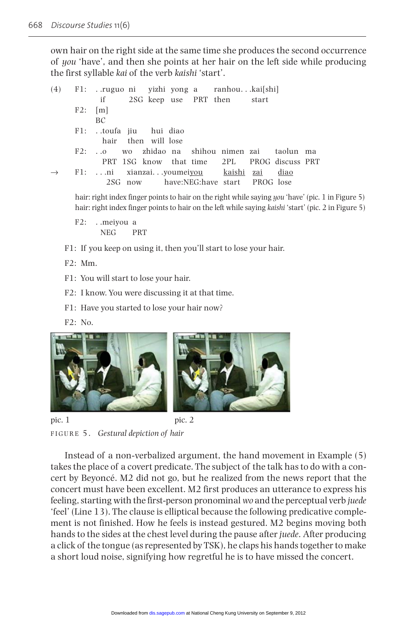own hair on the right side at the same time she produces the second occurrence of you 'have', and then she points at her hair on the left side while producing the first syllable kai of the verb kaishi 'start'.

|               |           |                         |  |  | (4) F1: .ruguo ni yizhi yong a ranhoukai[shi] |  |  |
|---------------|-----------|-------------------------|--|--|-----------------------------------------------|--|--|
|               |           |                         |  |  | if 2SG keep use PRT then start                |  |  |
|               | $F2:$ [m] |                         |  |  |                                               |  |  |
|               |           | BC.                     |  |  |                                               |  |  |
|               |           | F1: .toufa jiu hui diao |  |  |                                               |  |  |
|               |           | hair then will lose     |  |  |                                               |  |  |
|               |           |                         |  |  | F2: o wo zhidao na shihou nimen zai taolun ma |  |  |
|               |           |                         |  |  | PRT 1SG know that time 2PL PROG discuss PRT   |  |  |
| $\rightarrow$ |           |                         |  |  | F1: ni xianzaiyoumeiyou kaishi zai diao       |  |  |
|               |           |                         |  |  | 2SG now have:NEG:have start PROG lose         |  |  |

hair: right index finger points to hair on the right while saying you 'have' (pic. 1 in Figure 5) hair: right index finger points to hair on the left while saying kaishi 'start' (pic. 2 in Figure 5)

F2: . meiyou a **NEG PRT** 

- F1: If you keep on using it, then you'll start to lose your hair.
- $F2: Mm.$
- F1: You will start to lose your hair.
- F2: I know. You were discussing it at that time.
- F1: Have you started to lose your hair now?
- $F2: No.$



pic. 1 pic. 2 FIGURE 5. Gestural depiction of hair

Instead of a non-verbalized argument, the hand movement in Example (5) takes the place of a covert predicate. The subject of the talk has to do with a concert by Beyoncé. M2 did not go, but he realized from the news report that the concert must have been excellent. M2 first produces an utterance to express his feeling, starting with the first-person pronominal wo and the perceptual verb juede 'feel' (Line 13). The clause is elliptical because the following predicative complement is not finished. How he feels is instead gestured. M2 begins moving both hands to the sides at the chest level during the pause after *juede*. After producing a click of the tongue (as represented by TSK), he claps his hands together to make a short loud noise, signifying how regretful he is to have missed the concert.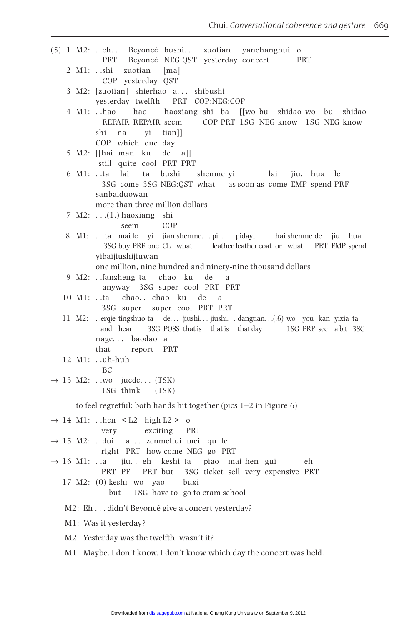(5) 1 M2: ..eh... Beyoncé bushi.. zuotian yanchanghui o PRT Beyoncé NEG:QST yesterday concert **PRT** 2 M1: ..shi zuotian  $\lceil ma \rceil$ COP yesterday QST 3 M2: [zuotian] shierhao a... shibushi yesterday twelfth PRT COP:NEG:COP 4 M1: ..hao haoxiang shi ba [[wo bu zhidao wo bu zhidao hao REPAIR REPAIR seem COP PRT 1SG NEG know 1SG NEG know shi yi tian]] na COP which one day 5 M2: [[hai man ku de a]] still quite cool PRT PRT 6 M1: ..ta lai ta bushi shenme yi lai jiu. hua le 3SG come 3SG NEG:QST what as soon as come EMP spend PRF sanbaiduowan more than three million dollars  $7 M2:$  ... $(1.)$  haoxiang shi seem  $COP$ 8 M1: ...ta mai le yi jian shenme...pi.. pidayi hai shenme de jiu hua 3SG buy PRF one CL what leather leather coat or what PRT EMP spend yibaijiushijiuwan one million, nine hundred and ninety-nine thousand dollars 9 M2: ..fanzheng ta chao ku de  $\overline{a}$ anyway 3SG super cool PRT PRT 10 M1: ..ta chao..chao ku de a 3SG super super cool PRT PRT 11 M2: .erqie tingshuo ta de... jiushi... jiushi... dangtian...(.6) wo you kan yixia ta and hear 3SG POSS that is that is that day 1SG PRF see a bit 3SG nage... baodao a that report PRT 12 M1: ..uh-huh  $RC$  $\rightarrow$  13 M2: ..wo juede... (TSK) 1SG think  $(TSK)$ to feel regretful: both hands hit together (pics  $1-2$  in Figure 6)  $\rightarrow$  14 M1: ..hen < L2 high L2 > 0 exciting **PRT** very  $\rightarrow$  15 M2: ..dui a... zenmehui mei qu le right PRT how come NEG go PRT  $\rightarrow$  16 M1: ..a jiu.. eh keshi ta piao mai hen gui eh PRT PF PRT but 3SG ticket sell very expensive PRT  $17 \text{ M2}$ : (0) keshi wo yao buxi but 1SG have to go to cram school M2: Eh...didn't Beyoncé give a concert yesterday? M1: Was it yesterday? M2: Yesterday was the twelfth, wasn't it? M1: Maybe. I don't know. I don't know which day the concert was held.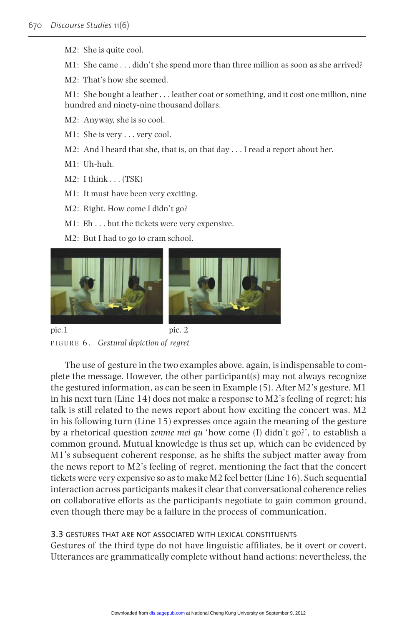M2: She is quite cool.

M1: She came . . . didn't she spend more than three million as soon as she arrived?

M2: That's how she seemed.

M1: She bought a leather . . . leather coat or something, and it cost one million, nine hundred and ninety-nine thousand dollars.

M2: Anyway, she is so cool.

- M1: She is very ... very cool.
- M2: And I heard that she, that is, on that day . . . I read a report about her.
- M1: Uh-huh.
- $M2$ : I think ... (TSK)
- M1: It must have been very exciting.
- M2: Right. How come I didn't go?
- M1: Eh...but the tickets were very expensive.
- M2: But I had to go to cram school.





 $pic.1$ pic.  $2$ FIGURE 6. Gestural depiction of regret

The use of gesture in the two examples above, again, is indispensable to complete the message. However, the other participant(s) may not always recognize the gestured information, as can be seen in Example (5). After M2's gesture, M1 in his next turn (Line  $14$ ) does not make a response to M2's feeling of regret; his talk is still related to the news report about how exciting the concert was. M2 in his following turn (Line 15) expresses once again the meaning of the gesture by a rhetorical question *zenme mei qu* 'how come (I) didn't go?', to establish a common ground. Mutual knowledge is thus set up, which can be evidenced by M1's subsequent coherent response, as he shifts the subject matter away from the news report to M2's feeling of regret, mentioning the fact that the concert tickets were very expensive so as to make M2 feel better (Line 16). Such sequential interaction across participants makes it clear that conversational coherence relies on collaborative efforts as the participants negotiate to gain common ground, even though there may be a failure in the process of communication.

#### 3.3 GESTURES THAT ARE NOT ASSOCIATED WITH LEXICAL CONSTITUENTS

Gestures of the third type do not have linguistic affiliates, be it overt or covert. Utterances are grammatically complete without hand actions; nevertheless, the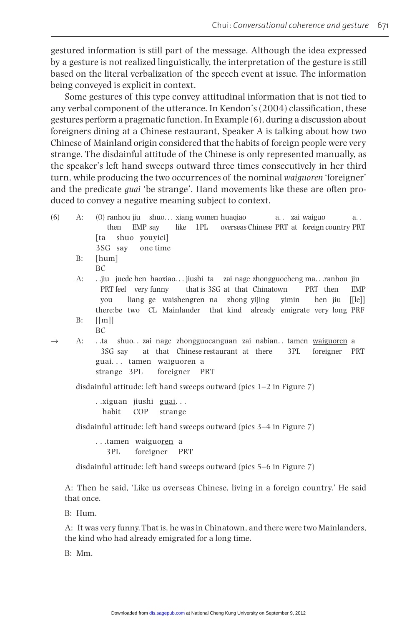gestured information is still part of the message. Although the idea expressed by a gesture is not realized linguistically, the interpretation of the gesture is still based on the literal verbalization of the speech event at issue. The information being conveyed is explicit in context.

Some gestures of this type convey attitudinal information that is not tied to any verbal component of the utterance. In Kendon's (2004) classification, these gestures perform a pragmatic function. In Example (6), during a discussion about foreigners dining at a Chinese restaurant, Speaker A is talking about how two Chinese of Mainland origin considered that the habits of foreign people were very strange. The disdainful attitude of the Chinese is only represented manually, as the speaker's left hand sweeps outward three times consecutively in her third turn, while producing the two occurrences of the nominal waiguoren 'foreigner' and the predicate *quai* 'be strange'. Hand movements like these are often produced to convey a negative meaning subject to context.

 $(6)$ A:  $(0)$  ranhou jiu shuo... xiang women huaqiao a.. zai waiguo  $a<sub>1</sub>$ then EMP say [ta shuo youvici] 3SG say one time

 $[hum]$ **B: BC** 

А: ..jiu juede hen haoxiao...jiushi ta zai nage zhongguocheng ma...ranhou jiu that is 3SG at that Chinatown PRT feel very funny PRT then **EMP** vou liang ge waishengren na zhong vijing vimin hen jiu [[le]] there:be two CL Mainlander that kind already emigrate very long PRF  $\lceil \lceil m \rceil \rceil$ **B:**  $RC$ 

 $\rightarrow$ 

..ta shuo...zai nage zhongguocanguan zai nabian...tamen waiguoren a А: 3SG say at that Chinese restaurant at there 3PL foreigner PRT guai... tamen waiguoren a strange 3PL foreigner PRT

disdainful attitude: left hand sweeps outward (pics  $1-2$  in Figure 7)

..xiguan jiushi guai... habit COP strange

disdainful attitude: left hand sweeps outward (pics 3–4 in Figure 7)

...tamen waiguoren a 3PL foreigner PRT

disdainful attitude: left hand sweeps outward (pics 5–6 in Figure 7)

A: Then he said, 'Like us overseas Chinese, living in a foreign country.' He said that once.

B: Hum.

A: It was very funny. That is, he was in Chinatown, and there were two Mainlanders, the kind who had already emigrated for a long time.

**B**: Mm.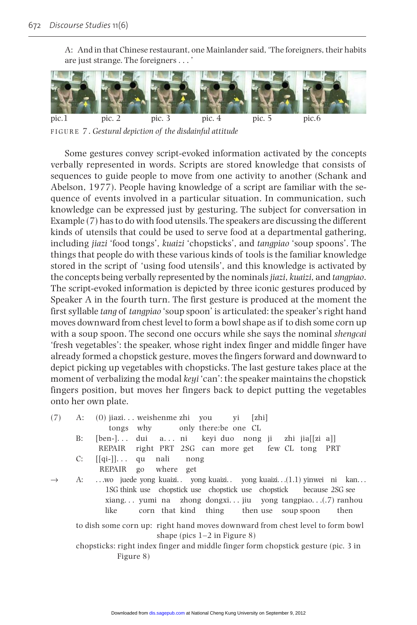A: And in that Chinese restaurant, one Mainlander said, 'The foreigners, their habits are just strange. The foreigners  $\dots$ 



FIGURE 7. Gestural depiction of the disdainful attitude

Some gestures convey script-evoked information activated by the concepts verbally represented in words. Scripts are stored knowledge that consists of sequences to guide people to move from one activity to another (Schank and Abelson, 1977). People having knowledge of a script are familiar with the sequence of events involved in a particular situation. In communication, such knowledge can be expressed just by gesturing. The subject for conversation in Example (7) has to do with food utensils. The speakers are discussing the different kinds of utensils that could be used to serve food at a departmental gathering. including *jiazi* 'food tongs', kuaizi 'chopsticks', and tangpiao 'soup spoons'. The things that people do with these various kinds of tools is the familiar knowledge stored in the script of 'using food utensils', and this knowledge is activated by the concepts being verbally represented by the nominals *jiazi*, kuaizi, and tangpiao. The script-evoked information is depicted by three iconic gestures produced by Speaker A in the fourth turn. The first gesture is produced at the moment the first syllable *tang* of *tangpiao* 'soup spoon' is articulated: the speaker's right hand moves downward from chest level to form a bowl shape as if to dish some corn up with a soup spoon. The second one occurs while she says the nominal *shengcai* fresh vegetables': the speaker, whose right index finger and middle finger have already formed a chopstick gesture, moves the fingers forward and downward to depict picking up vegetables with chopsticks. The last gesture takes place at the moment of verbalizing the modal *keyi* 'can': the speaker maintains the chopstick fingers position, but moves her fingers back to depict putting the vegetables onto her own plate.

| (7) | A: | $(0)$ jiazi weishenme zhi vou vi [zhi]<br>tongs why only there: be one CL          |
|-----|----|------------------------------------------------------------------------------------|
|     | B: | $[ben-]$ dui $a$ ni keyiduo nong ji zhi jia $[zi a]$                               |
|     | C: | REPAIR right PRT 2SG can more get few CL tong PRT<br>$[[qi-]]\ldots$ qu nali nong  |
|     |    | REPAIR go where get                                                                |
|     | A: | wo juede yong kuaizi yong kuaizi yong kuaizi $(1.1)$ yinwei ni kan                 |
|     |    | 1SG think use chopstick use chopstick use chopstick because 2SG see                |
|     |    | xiang yumi na zhong dongxi jiu yong tangpiao $(0.7)$ ranhou                        |
|     |    | corn that kind thing then use soup spoon<br>like<br>then                           |
|     |    | to dish some corn up: right hand moves downward from chest level to form bowl      |
|     |    | shape (pics $1-2$ in Figure 8)                                                     |
|     |    | chopsticks: right index finger and middle finger form chopstick gesture (pic. 3 in |
|     |    | Figure 8)                                                                          |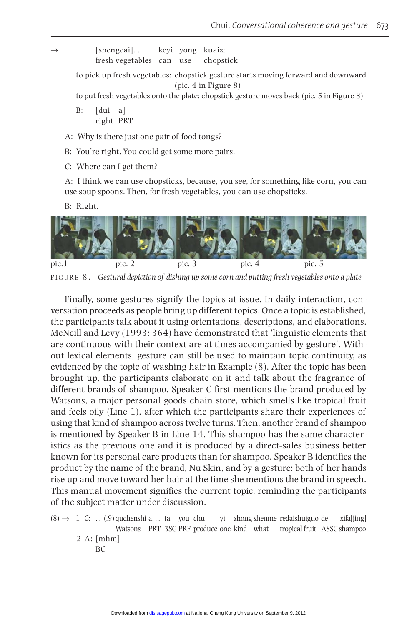$[shengcai]$ ... keyi yong kuaizi fresh vegetables can use chopstick

to pick up fresh vegetables: chopstick gesture starts moving forward and downward  $(pic. 4 in Figure 8)$ 

to put fresh vegetables onto the plate: chopstick gesture moves back (pic. 5 in Figure 8)

- $B$ : [dui a] right PRT
- A: Why is there just one pair of food tongs?
- B: You're right. You could get some more pairs.
- C: Where can I get them?

A: I think we can use chopsticks, because, you see, for something like corn, you can use soup spoons. Then, for fresh vegetables, you can use chopsticks.

B: Right.

 $\rightarrow$ 



FIGURE 8. Gestural depiction of dishing up some corn and putting fresh vegetables onto a plate

Finally, some gestures signify the topics at issue. In daily interaction, conversation proceeds as people bring up different topics. Once a topic is established, the participants talk about it using orientations, descriptions, and elaborations. McNeill and Levy (1993: 364) have demonstrated that 'linguistic elements that are continuous with their context are at times accompanied by gesture'. Without lexical elements, gesture can still be used to maintain topic continuity, as evidenced by the topic of washing hair in Example (8). After the topic has been brought up, the participants elaborate on it and talk about the fragrance of different brands of shampoo. Speaker C first mentions the brand produced by Watsons, a major personal goods chain store, which smells like tropical fruit and feels oily (Line 1), after which the participants share their experiences of using that kind of shampoo across twelve turns. Then, another brand of shampoo is mentioned by Speaker B in Line 14. This shampoo has the same characteristics as the previous one and it is produced by a direct-sales business better known for its personal care products than for shampoo. Speaker B identifies the product by the name of the brand, Nu Skin, and by a gesture: both of her hands rise up and move toward her hair at the time she mentions the brand in speech. This manual movement signifies the current topic, reminding the participants of the subject matter under discussion.

 $(8) \rightarrow 1$  C: ...(9) quchenshi a... ta you chu yi zhong shenme redaishuiguo de xifa[jing] Watsons PRT 3SG PRF produce one kind what tropical fruit ASSC shampoo  $2 \text{ A}: \text{[mhm]}$ BC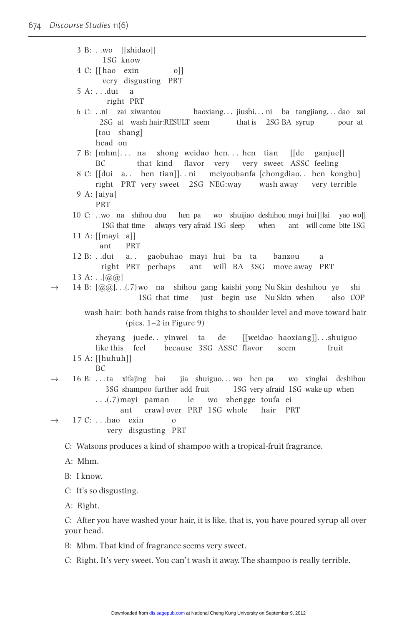$\rightarrow$ 

 $\rightarrow$ 

 $\rightarrow$ 

| 3 B:wo [[zhidao]]<br>1SG know                                                                                                                                                                                          |
|------------------------------------------------------------------------------------------------------------------------------------------------------------------------------------------------------------------------|
| 4 C: [[hao exin<br>[0]                                                                                                                                                                                                 |
| very disgusting PRT                                                                                                                                                                                                    |
| 5 A: dui a<br>right PRT                                                                                                                                                                                                |
| 6 C: ni zai xiwantou haoxiang jiushini ba tangjiangdao zai<br>2SG at wash hair:RESULT seem that is 2SG BA syrup pour at<br>[tou shang]<br>head on                                                                      |
| 7 B: [mhm] na zhong weidao hen hen tian [[de ganjue]]                                                                                                                                                                  |
| ВC<br>that kind flavor very very sweet ASSC feeling<br>8 C: [[dui a hen tian]]ni meiyoubanfa [chongdiao hen kongbu]<br>right PRT very sweet 2SG NEG:way wash away very terrible                                        |
| 9 A: [aiya]<br><b>PRT</b>                                                                                                                                                                                              |
| 10 C: .wo na shihou dou hen pa wo shuijiao deshihou mayi hui [[lai yao wo]]<br>1SG that time always very afraid 1SG sleep when ant will come bite 1SG                                                                  |
| 11 A: [[mayi a]]<br>ant PRT                                                                                                                                                                                            |
| 12 B: dui a gaobuhao mayi hui ba ta banzou<br>a<br>right PRT perhaps ant will BA 3SG move away PRT                                                                                                                     |
| 13 A: $\ldots$ [ $\omega$ ]                                                                                                                                                                                            |
| 14 B: [@@](.7) wo na shihou gang kaishi yong Nu Skin deshihou ye<br>shi<br>1SG that time just begin use Nu Skin when<br>also COP                                                                                       |
| wash hair: both hands raise from thighs to shoulder level and move toward hair<br>$(pics. 1-2 in Figure 9)$                                                                                                            |
| zheyang juede. yinwei ta de [[weidao haoxiang]]. shuiguo<br>like this feel because 3SG ASSC flavor seem<br>fruit<br>15 A: [[huhuh]]<br><b>BC</b>                                                                       |
| 16 B: ta xifajing hai jia shuiguowo hen pa wo xinglai deshihou<br>3SG shampoo further add fruit 1SG very afraid 1SG wake up when<br>(.7) mayi paman le wo zhengge toufa ei<br>crawl over PRF 1SG whole hair PRT<br>ant |
| $17 \text{ C}: \dots \text{hao}$ exin<br>$\overline{0}$<br>very disgusting PRT                                                                                                                                         |
| C: Watsons produces a kind of shampoo with a tropical-fruit fragrance.                                                                                                                                                 |
| A: Mhm.                                                                                                                                                                                                                |
| B: I know.                                                                                                                                                                                                             |
| C: It's so disgusting.                                                                                                                                                                                                 |
| A: Right.                                                                                                                                                                                                              |
| C: After you have washed your hair, it is like, that is, you have poured syrup all over<br>your head.                                                                                                                  |
| B: Mhm. That kind of fragrance seems very sweet.                                                                                                                                                                       |

C: Right. It's very sweet. You can't wash it away. The shampoo is really terrible.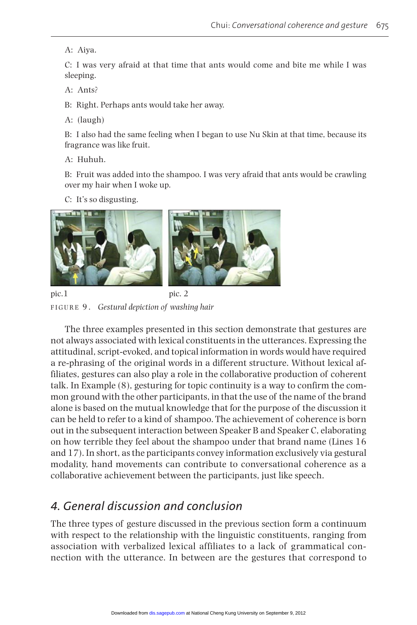A: Aiya.

C: I was very afraid at that time that ants would come and bite me while I was sleeping.

 $A: Ants?$ 

B: Right. Perhaps ants would take her away.

A: (laugh)

B: I also had the same feeling when I began to use Nu Skin at that time, because its fragrance was like fruit.

A: Huhuh.

B: Fruit was added into the shampoo. I was very afraid that ants would be crawling over my hair when I woke up.

C: It's so disgusting.





pic.1 pic. 2 FIGURE 9. Gestural depiction of washing hair

The three examples presented in this section demonstrate that gestures are not always associated with lexical constituents in the utterances. Expressing the attitudinal, script-evoked, and topical information in words would have required a re-phrasing of the original words in a different structure. Without lexical affiliates, gestures can also play a role in the collaborative production of coherent talk. In Example (8), gesturing for topic continuity is a way to confirm the common ground with the other participants, in that the use of the name of the brand alone is based on the mutual knowledge that for the purpose of the discussion it can be held to refer to a kind of shampoo. The achievement of coherence is born out in the subsequent interaction between Speaker B and Speaker C, elaborating on how terrible they feel about the shampoo under that brand name (Lines 16) and 17). In short, as the participants convey information exclusively via gestural modality, hand movements can contribute to conversational coherence as a collaborative achievement between the participants, just like speech.

### 4. General discussion and conclusion

The three types of gesture discussed in the previous section form a continuum with respect to the relationship with the linguistic constituents, ranging from association with verbalized lexical affiliates to a lack of grammatical connection with the utterance. In between are the gestures that correspond to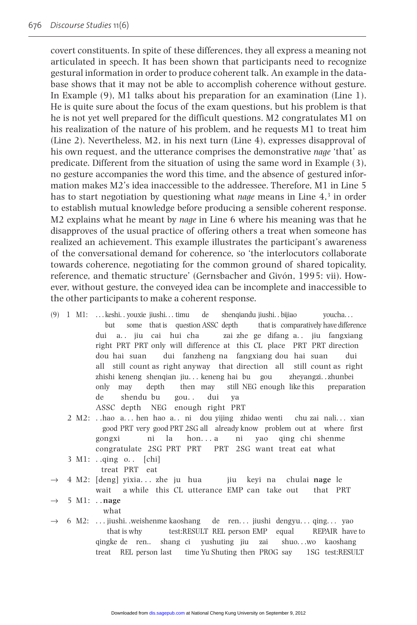covert constituents. In spite of these differences, they all express a meaning not articulated in speech. It has been shown that participants need to recognize gestural information in order to produce coherent talk. An example in the database shows that it may not be able to accomplish coherence without gesture. In Example  $(9)$ , M1 talks about his preparation for an examination (Line 1). He is quite sure about the focus of the exam questions, but his problem is that he is not yet well prepared for the difficult questions. M2 congratulates M1 on his realization of the nature of his problem, and he requests M1 to treat him (Line 2). Nevertheless,  $M2$ , in his next turn (Line 4), expresses disapproval of his own request, and the utterance comprises the demonstrative nage 'that' as predicate. Different from the situation of using the same word in Example (3), no gesture accompanies the word this time, and the absence of gestured information makes M2's idea inaccessible to the addressee. Therefore, M1 in Line 5 has to start negotiation by questioning what *nage* means in Line  $4<sup>3</sup>$  in order to establish mutual knowledge before producing a sensible coherent response. M2 explains what he meant by *nage* in Line 6 where his meaning was that he disapproves of the usual practice of offering others a treat when someone has realized an achievement. This example illustrates the participant's awareness of the conversational demand for coherence, so 'the interlocutors collaborate towards coherence, negotiating for the common ground of shared topicality, reference, and thematic structure' (Gernsbacher and Givón, 1995: vii). However, without gesture, the conveyed idea can be incomplete and inaccessible to the other participants to make a coherent response.

- $(9)$  1 M1: ... keshi... youxie jiushi... timu de shenqiandu jiushi. . bijiao youcha... but some that is question ASSC depth that is comparatively have difference dui a., jiu cai hui cha zai zhe ge difang a. jiu fangxiang right PRT PRT only will difference at this CL place PRT PRT direction dui fanzheng na fangxiang dou hai suan dou hai suan dui all still count as right anyway that direction all still count as right zhishi keneng shengian jiu... keneng hai bu gou zheyangzi..zhunbei still NEG enough like this only may depth then may preparation de shendu bu gou.. dui ya ASSC depth NEG enough right PRT
	- 2 M2: ..hao a...hen hao a.. ni dou yijing zhidao wenti chu zai nali... xian good PRT very good PRT 2SG all already know problem out at where first gongxi ni la  $\text{hon.} \; . \; .$  a ni yao qing chi shenme congratulate 2SG PRT PRT PRT 2SG want treat eat what
	- $3 \text{ M1}:$  . qing  $0.$  [chi]
		- treat PRT eat
- 4 M2: [deng] yixia... zhe ju hua jiu keyi na chulai nage le  $\rightarrow$ a while this CL utterance EMP can take out that PRT wait
- 5 M1: ..nage  $\rightarrow$ what
- $\rightarrow$  6 M2: ... jiushi. weishenme kaoshang de ren... jiushi dengyu... qing... yao test:RESULT REL person EMP that is why equal REPAIR have to qingke de ren.. shang ci yushuting jiu zai shuo...wo kaoshang treat REL person last time Yu Shuting then PROG say 1SG test:RESULT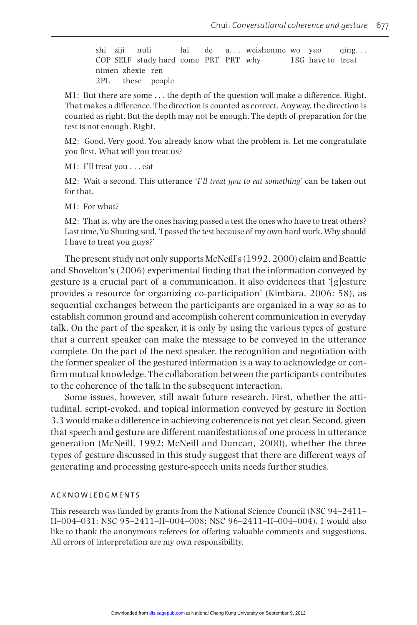shi ziji nuli lai de a... weishenme wo yao  $qing.$ . COP SELF study hard come PRT PRT why 1SG have to treat nimen zhexie ren  $2PL$ these people

M1: But there are some ... the depth of the question will make a difference. Right. That makes a difference. The direction is counted as correct. Anyway, the direction is counted as right. But the depth may not be enough. The depth of preparation for the test is not enough. Right.

M2: Good. Very good. You already know what the problem is. Let me congratulate you first. What will you treat us?

M1: I'll treat you . . . eat

M2: Wait a second. This utterance 'I'll treat you to eat something' can be taken out for that.

M1: For what?

M2: That is, why are the ones having passed a test the ones who have to treat others? Last time, Yu Shuting said, 'I passed the test because of my own hard work. Why should I have to treat you guys?'

The present study not only supports McNeill's (1992, 2000) claim and Beattie and Shovelton's (2006) experimental finding that the information conveyed by gesture is a crucial part of a communication, it also evidences that '[g]esture provides a resource for organizing co-participation' (Kimbara, 2006: 58), as sequential exchanges between the participants are organized in a way so as to establish common ground and accomplish coherent communication in everyday talk. On the part of the speaker, it is only by using the various types of gesture that a current speaker can make the message to be conveyed in the utterance complete. On the part of the next speaker, the recognition and negotiation with the former speaker of the gestured information is a way to acknowledge or confirm mutual knowledge. The collaboration between the participants contributes to the coherence of the talk in the subsequent interaction.

Some issues, however, still await future research. First, whether the attitudinal, script-evoked, and topical information conveyed by gesture in Section 3.3 would make a difference in achieving coherence is not yet clear. Second, given that speech and gesture are different manifestations of one process in utterance generation (McNeill, 1992; McNeill and Duncan, 2000), whether the three types of gesture discussed in this study suggest that there are different ways of generating and processing gesture-speech units needs further studies.

#### **ACKNOWLEDGMENTS**

This research was funded by grants from the National Science Council (NSC 94-2411-H-004-031; NSC 95-2411-H-004-008; NSC 96-2411-H-004-004). I would also like to thank the anonymous referees for offering valuable comments and suggestions. All errors of interpretation are my own responsibility.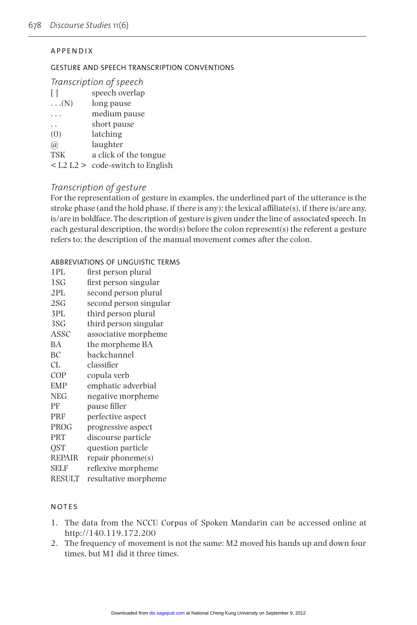#### **APPENDIX**

#### **GESTURE AND SPEECH TRANSCRIPTION CONVENTIONS**

| Transcription of speech |  |  |
|-------------------------|--|--|
|                         |  |  |

| $\Box$               | speech overlap                             |
|----------------------|--------------------------------------------|
| $\ldots$ (N)         | long pause                                 |
| $\cdots$             | medium pause                               |
| $\ddot{\phantom{0}}$ | short pause                                |
| (0)                  | latching                                   |
| @)                   | laughter                                   |
| <b>TSK</b>           | a click of the tongue                      |
|                      | $\langle$ L2 L2 $>$ code-switch to English |

#### Transcription of gesture

For the representation of gesture in examples, the underlined part of the utterance is the stroke phase (and the hold phase, if there is any); the lexical affiliate(s), if there is/are any, is/are in boldface. The description of gesture is given under the line of associated speech. In each gestural description, the word(s) before the colon represent(s) the referent a gesture refers to; the description of the manual movement comes after the colon.

#### ABBREVIATIONS OF LINGUISTIC TERMS

| 1PL           | first person plural    |
|---------------|------------------------|
| 1SG           | first person singular  |
| 2PL           | second person plural   |
| 2SG           | second person singulai |
| 3PL           | third person plural    |
| 3SG           | third person singular  |
| ASSC          | associative morpheme   |
| BA            | the morpheme BA        |
| ВC            | backchannel            |
| CL            | classifier             |
| COP           | copula verb            |
| <b>EMP</b>    | emphatic adverbial     |
| <b>NEG</b>    | negative morpheme      |
| PF            | pause filler           |
| PRF           | perfective aspect      |
| <b>PROG</b>   | progressive aspect     |
| PRT           | discourse particle     |
| <b>OST</b>    | question particle      |
| <b>REPAIR</b> | repair phoneme(s)      |
| <b>SELF</b>   | reflexive morpheme     |
| <b>RESULT</b> | resultative morpheme   |

### **NOTES**

- 1. The data from the NCCU Corpus of Spoken Mandarin can be accessed online at http://140.119.172.200
- 2. The frequency of movement is not the same: M2 moved his hands up and down four times, but M1 did it three times.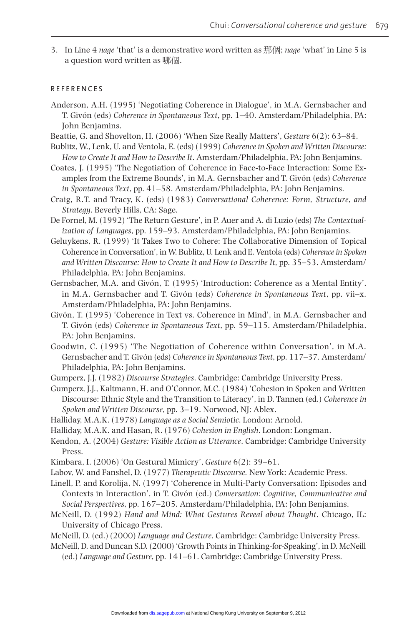3. In Line 4 nage 'that' is a demonstrative word written as  $\frac{m}{m}$ ; nage 'what' in Line 5 is a question word written as 哪個.

#### **REFERENCES**

- Anderson, A.H. (1995) 'Negotiating Coherence in Dialogue', in M.A. Gernsbacher and T. Givón (eds) Coherence in Spontaneous Text, pp. 1–40. Amsterdam/Philadelphia, PA: John Benjamins.
- Beattie, G. and Shovelton, H. (2006) 'When Size Really Matters', Gesture 6(2): 63-84.
- Bublitz, W., Lenk, U. and Ventola, E. (eds) (1999) Coherence in Spoken and Written Discourse: How to Create It and How to Describe It. Amsterdam/Philadelphia, PA: John Benjamins.
- Coates, J. (1995) 'The Negotiation of Coherence in Face-to-Face Interaction: Some Examples from the Extreme Bounds', in M.A. Gernsbacher and T. Givón (eds) Coherence in Spontaneous Text, pp. 41–58. Amsterdam/Philadelphia, PA: John Benjamins.
- Craig, R.T. and Tracy, K. (eds) (1983) Conversational Coherence: Form, Structure, and Strategy. Beverly Hills, CA: Sage.
- De Fornel, M. (1992) 'The Return Gesture', in P. Auer and A. di Luzio (eds) The Contextualization of Languages, pp. 159–93. Amsterdam/Philadelphia, PA: John Benjamins.
- Geluykens, R. (1999) 'It Takes Two to Cohere: The Collaborative Dimension of Topical Coherence in Conversation', in W. Bublitz, U. Lenk and E. Ventola (eds) Coherence in Spoken and Written Discourse: How to Create It and How to Describe It, pp. 35–53. Amsterdam/ Philadelphia, PA: John Benjamins.
- Gernsbacher, M.A. and Givón, T. (1995) 'Introduction: Coherence as a Mental Entity', in M.A. Gernsbacher and T. Givón (eds) Coherence in Spontaneous Text, pp. vii-x. Amsterdam/Philadelphia, PA: John Benjamins.
- Givón, T. (1995) 'Coherence in Text vs. Coherence in Mind', in M.A. Gernsbacher and T. Givón (eds) Coherence in Spontaneous Text, pp. 59-115. Amsterdam/Philadelphia, PA: John Benjamins.
- Goodwin, C. (1995) 'The Negotiation of Coherence within Conversation', in M.A. Gernsbacher and T. Givón (eds) Coherence in Spontaneous Text, pp. 117-37. Amsterdam/ Philadelphia, PA: John Benjamins.
- Gumperz, J.J. (1982) Discourse Strategies. Cambridge: Cambridge University Press.
- Gumperz, J.J., Kaltmann, H. and O'Connor, M.C. (1984) 'Cohesion in Spoken and Written Discourse: Ethnic Style and the Transition to Literacy', in D. Tannen (ed.) Coherence in Spoken and Written Discourse, pp. 3–19. Norwood, NJ: Ablex.
- Halliday, M.A.K. (1978) Language as a Social Semiotic. London: Arnold.
- Halliday, M.A.K. and Hasan, R. (1976) Cohesion in English. London: Longman.
- Kendon, A. (2004) Gesture: Visible Action as Utterance. Cambridge: Cambridge University Press.
- Kimbara, I. (2006) 'On Gestural Mimicry', Gesture 6(2): 39-61.
- Labov, W. and Fanshel, D. (1977) Therapeutic Discourse. New York: Academic Press.
- Linell, P. and Korolija, N. (1997) 'Coherence in Multi-Party Conversation: Episodes and Contexts in Interaction', in T. Givón (ed.) Conversation: Cognitive, Communicative and Social Perspectives, pp. 167–205. Amsterdam/Philadelphia, PA: John Benjamins.
- McNeill, D. (1992) Hand and Mind: What Gestures Reveal about Thought. Chicago, IL: University of Chicago Press.
- McNeill, D. (ed.) (2000) Language and Gesture. Cambridge: Cambridge University Press.
- McNeill, D. and Duncan S.D. (2000) 'Growth Points in Thinking-for-Speaking', in D. McNeill (ed.) Language and Gesture, pp. 141–61. Cambridge: Cambridge University Press.